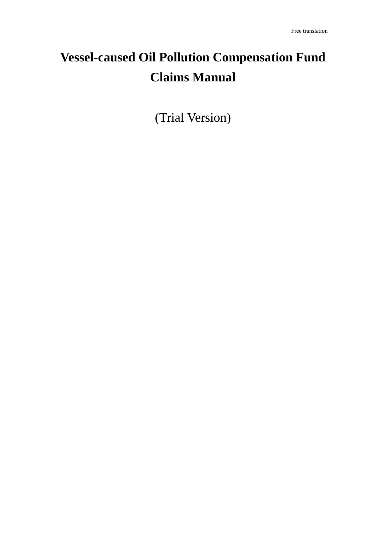# **Vessel-caused Oil Pollution Compensation Fund Claims Manual**

(Trial Version)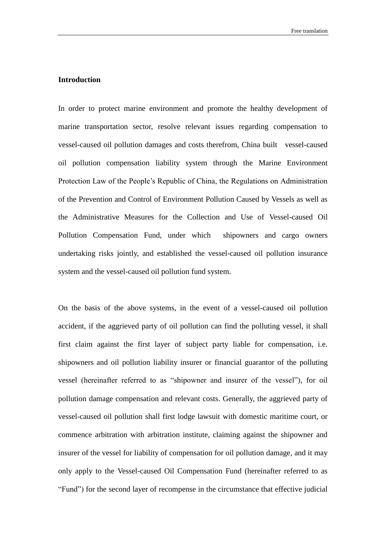#### <span id="page-1-0"></span>**Introduction**

In order to protect marine environment and promote the healthy development of marine transportation sector, resolve relevant issues regarding compensation to vessel-caused oil pollution damages and costs therefrom, China built vessel-caused oil pollution compensation liability system through the Marine Environment Protection Law of the People's Republic of China, the Regulations on Administration of the Prevention and Control of Environment Pollution Caused by Vessels as well as the Administrative Measures for the Collection and Use of Vessel-caused Oil Pollution Compensation Fund, under which shipowners and cargo owners undertaking risks jointly, and established the vessel-caused oil pollution insurance system and the vessel-caused oil pollution fund system.

On the basis of the above systems, in the event of a vessel-caused oil pollution accident, if the aggrieved party of oil pollution can find the polluting vessel, it shall first claim against the first layer of subject party liable for compensation, i.e. shipowners and oil pollution liability insurer or financial guarantor of the polluting vessel (hereinafter referred to as "shipowner and insurer of the vessel"), for oil pollution damage compensation and relevant costs. Generally, the aggrieved party of vessel-caused oil pollution shall first lodge lawsuit with domestic maritime court, or commence arbitration with arbitration institute, claiming against the shipowner and insurer of the vessel for liability of compensation for oil pollution damage, and it may only apply to the Vessel-caused Oil Compensation Fund (hereinafter referred to as "Fund") for the second layer of recompense in the circumstance that effective judicial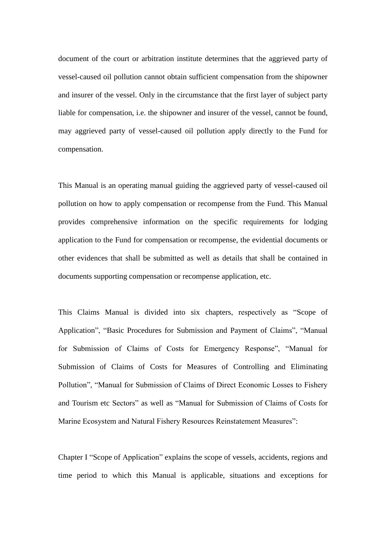document of the court or arbitration institute determines that the aggrieved party of vessel-caused oil pollution cannot obtain sufficient compensation from the shipowner and insurer of the vessel. Only in the circumstance that the first layer of subject party liable for compensation, i.e. the shipowner and insurer of the vessel, cannot be found, may aggrieved party of vessel-caused oil pollution apply directly to the Fund for compensation.

This Manual is an operating manual guiding the aggrieved party of vessel-caused oil pollution on how to apply compensation or recompense from the Fund. This Manual provides comprehensive information on the specific requirements for lodging application to the Fund for compensation or recompense, the evidential documents or other evidences that shall be submitted as well as details that shall be contained in documents supporting compensation or recompense application, etc.

This Claims Manual is divided into six chapters, respectively as "Scope of Application", "Basic Procedures for Submission and Payment of Claims", "Manual for Submission of Claims of Costs for Emergency Response", "Manual for Submission of Claims of Costs for Measures of Controlling and Eliminating Pollution", "Manual for Submission of Claims of Direct Economic Losses to Fishery and Tourism etc Sectors" as well as "Manual for Submission of Claims of Costs for Marine Ecosystem and Natural Fishery Resources Reinstatement Measures":

Chapter I "Scope of Application" explains the scope of vessels, accidents, regions and time period to which this Manual is applicable, situations and exceptions for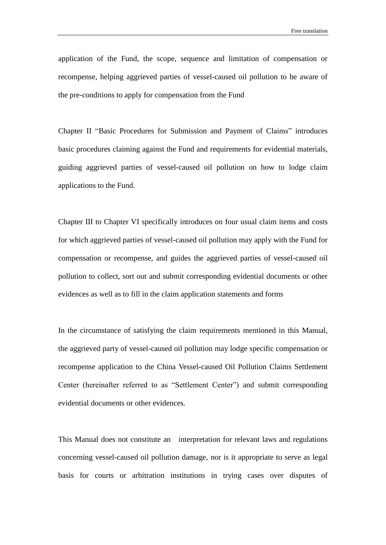application of the Fund, the scope, sequence and limitation of compensation or recompense, helping aggrieved parties of vessel-caused oil pollution to be aware of the pre-conditions to apply for compensation from the Fund

Chapter II "Basic Procedures for Submission and Payment of Claims" introduces basic procedures claiming against the Fund and requirements for evidential materials, guiding aggrieved parties of vessel-caused oil pollution on how to lodge claim applications to the Fund.

Chapter III to Chapter VI specifically introduces on four usual claim items and costs for which aggrieved parties of vessel-caused oil pollution may apply with the Fund for compensation or recompense, and guides the aggrieved parties of vessel-caused oil pollution to collect, sort out and submit corresponding evidential documents or other evidences as well as to fill in the claim application statements and forms

In the circumstance of satisfying the claim requirements mentioned in this Manual, the aggrieved party of vessel-caused oil pollution may lodge specific compensation or recompense application to the China Vessel-caused Oil Pollution Claims Settlement Center (hereinafter referred to as "Settlement Center") and submit corresponding evidential documents or other evidences.

This Manual does not constitute an interpretation for relevant laws and regulations concerning vessel-caused oil pollution damage, nor is it appropriate to serve as legal basis for courts or arbitration institutions in trying cases over disputes of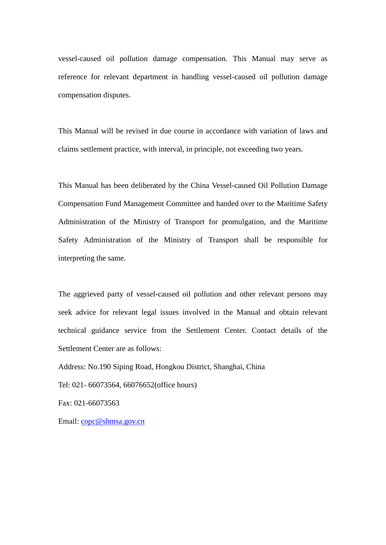vessel-caused oil pollution damage compensation. This Manual may serve as reference for relevant department in handling vessel-caused oil pollution damage compensation disputes.

This Manual will be revised in due course in accordance with variation of laws and claims settlement practice, with interval, in principle, not exceeding two years.

This Manual has been deliberated by the China Vessel-caused Oil Pollution Damage Compensation Fund Management Committee and handed over to the Maritime Safety Administration of the Ministry of Transport for promulgation, and the Maritime Safety Administration of the Ministry of Transport shall be responsible for interpreting the same.

The aggrieved party of vessel-caused oil pollution and other relevant persons may seek advice for relevant legal issues involved in the Manual and obtain relevant technical guidance service from the Settlement Center. Contact details of the Settlement Center are as follows:

Address: No.190 Siping Road, Hongkou District, Shanghai, China

Tel: 021- 66073564, 66076652(office hours)

Fax: 021-66073563

Email: [copc@shmsa.gov.cn](mailto:copc@shmsa.gov.cn)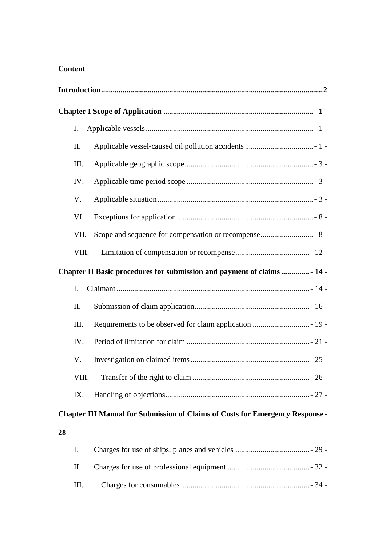### **Content**

|                                                                          | I.    |                                                                                      |  |  |
|--------------------------------------------------------------------------|-------|--------------------------------------------------------------------------------------|--|--|
|                                                                          | II.   |                                                                                      |  |  |
|                                                                          | Ш.    |                                                                                      |  |  |
|                                                                          | IV.   |                                                                                      |  |  |
|                                                                          | V.    |                                                                                      |  |  |
|                                                                          | VI.   |                                                                                      |  |  |
|                                                                          | VII.  |                                                                                      |  |  |
|                                                                          | VIII. |                                                                                      |  |  |
| Chapter II Basic procedures for submission and payment of claims  - 14 - |       |                                                                                      |  |  |
|                                                                          | I.    |                                                                                      |  |  |
|                                                                          | II.   |                                                                                      |  |  |
|                                                                          | III.  |                                                                                      |  |  |
|                                                                          | IV.   |                                                                                      |  |  |
|                                                                          | V.    |                                                                                      |  |  |
|                                                                          | VIII. |                                                                                      |  |  |
|                                                                          | IX.   |                                                                                      |  |  |
|                                                                          |       | <b>Chapter III Manual for Submission of Claims of Costs for Emergency Response -</b> |  |  |
| $28 -$                                                                   |       |                                                                                      |  |  |
|                                                                          | I.    |                                                                                      |  |  |
|                                                                          | II.   |                                                                                      |  |  |
|                                                                          | Ш.    |                                                                                      |  |  |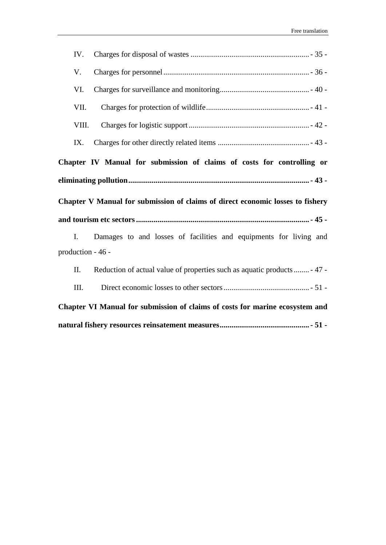| IV.                                                                    |                                                                                |  |  |  |
|------------------------------------------------------------------------|--------------------------------------------------------------------------------|--|--|--|
| V.                                                                     |                                                                                |  |  |  |
| VI.                                                                    |                                                                                |  |  |  |
| VII.                                                                   |                                                                                |  |  |  |
| VIII.                                                                  |                                                                                |  |  |  |
| IX.                                                                    |                                                                                |  |  |  |
| Chapter IV Manual for submission of claims of costs for controlling or |                                                                                |  |  |  |
|                                                                        |                                                                                |  |  |  |
|                                                                        |                                                                                |  |  |  |
|                                                                        | Chapter V Manual for submission of claims of direct economic losses to fishery |  |  |  |
|                                                                        |                                                                                |  |  |  |
| I.                                                                     | Damages to and losses of facilities and equipments for living and              |  |  |  |
| production - 46 -                                                      |                                                                                |  |  |  |
| П.                                                                     | Reduction of actual value of properties such as aquatic products  47 -         |  |  |  |
| III.                                                                   |                                                                                |  |  |  |
|                                                                        | Chapter VI Manual for submission of claims of costs for marine ecosystem and   |  |  |  |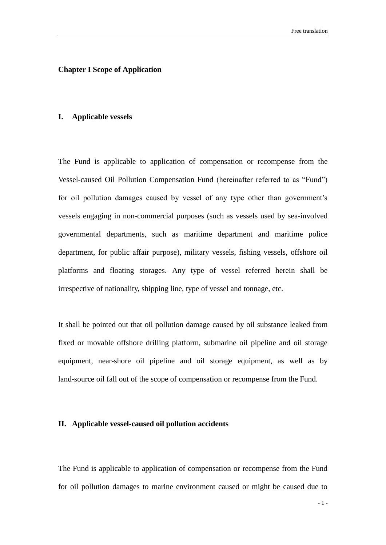#### <span id="page-8-0"></span>**Chapter I Scope of Application**

#### <span id="page-8-1"></span>**I. Applicable vessels**

The Fund is applicable to application of compensation or recompense from the Vessel-caused Oil Pollution Compensation Fund (hereinafter referred to as "Fund") for oil pollution damages caused by vessel of any type other than government's vessels engaging in non-commercial purposes (such as vessels used by sea-involved governmental departments, such as maritime department and maritime police department, for public affair purpose), military vessels, fishing vessels, offshore oil platforms and floating storages. Any type of vessel referred herein shall be irrespective of nationality, shipping line, type of vessel and tonnage, etc.

It shall be pointed out that oil pollution damage caused by oil substance leaked from fixed or movable offshore drilling platform, submarine oil pipeline and oil storage equipment, near-shore oil pipeline and oil storage equipment, as well as by land-source oil fall out of the scope of compensation or recompense from the Fund.

#### <span id="page-8-2"></span>**II. Applicable vessel-caused oil pollution accidents**

The Fund is applicable to application of compensation or recompense from the Fund for oil pollution damages to marine environment caused or might be caused due to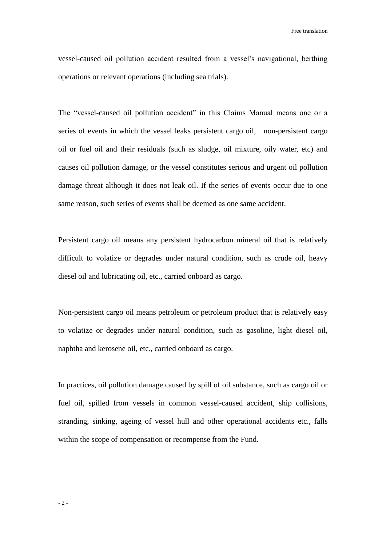vessel-caused oil pollution accident resulted from a vessel's navigational, berthing operations or relevant operations (including sea trials).

The "vessel-caused oil pollution accident" in this Claims Manual means one or a series of events in which the vessel leaks persistent cargo oil, non-persistent cargo oil or fuel oil and their residuals (such as sludge, oil mixture, oily water, etc) and causes oil pollution damage, or the vessel constitutes serious and urgent oil pollution damage threat although it does not leak oil. If the series of events occur due to one same reason, such series of events shall be deemed as one same accident.

Persistent cargo oil means any persistent hydrocarbon mineral oil that is relatively difficult to volatize or degrades under natural condition, such as crude oil, heavy diesel oil and lubricating oil, etc., carried onboard as cargo.

Non-persistent cargo oil means petroleum or petroleum product that is relatively easy to volatize or degrades under natural condition, such as gasoline, light diesel oil, naphtha and kerosene oil, etc., carried onboard as cargo.

In practices, oil pollution damage caused by spill of oil substance, such as cargo oil or fuel oil, spilled from vessels in common vessel-caused accident, ship collisions, stranding, sinking, ageing of vessel hull and other operational accidents etc., falls within the scope of compensation or recompense from the Fund.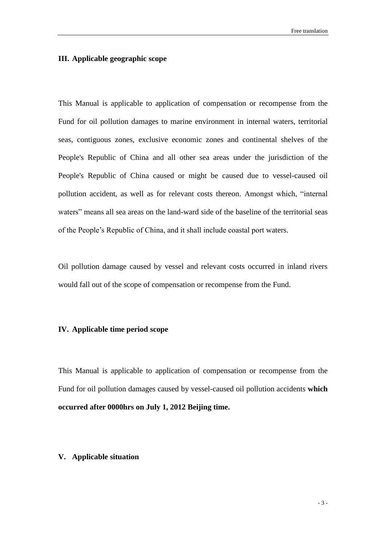#### <span id="page-10-0"></span>**III. Applicable geographic scope**

This Manual is applicable to application of compensation or recompense from the Fund for oil pollution damages to marine environment in internal waters, territorial seas, contiguous zones, exclusive economic zones and continental shelves of the People's Republic of China and all other sea areas under the jurisdiction of the People's Republic of China caused or might be caused due to vessel-caused oil pollution accident, as well as for relevant costs thereon. Amongst which, "internal waters" means all sea areas on the land-ward side of the baseline of the territorial seas of the People's Republic of China, and it shall include coastal port waters.

Oil pollution damage caused by vessel and relevant costs occurred in inland rivers would fall out of the scope of compensation or recompense from the Fund.

#### <span id="page-10-1"></span>**IV. Applicable time period scope**

This Manual is applicable to application of compensation or recompense from the Fund for oil pollution damages caused by vessel-caused oil pollution accidents **which occurred after 0000hrs on July 1, 2012 Beijing time.**

#### <span id="page-10-2"></span>**V. Applicable situation**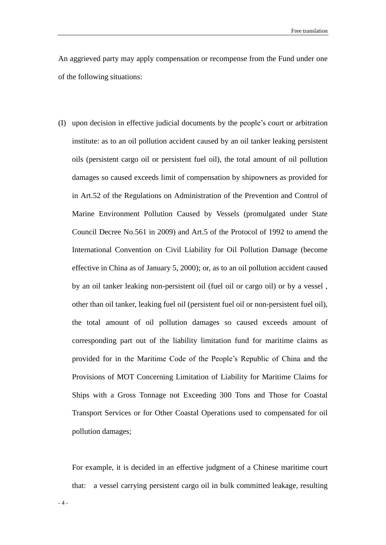An aggrieved party may apply compensation or recompense from the Fund under one of the following situations:

(I) upon decision in effective judicial documents by the people's court or arbitration institute: as to an oil pollution accident caused by an oil tanker leaking persistent oils (persistent cargo oil or persistent fuel oil), the total amount of oil pollution damages so caused exceeds limit of compensation by shipowners as provided for in Art.52 of the Regulations on Administration of the Prevention and Control of Marine Environment Pollution Caused by Vessels (promulgated under State Council Decree No.561 in 2009) and Art.5 of the Protocol of 1992 to amend the International Convention on Civil Liability for Oil Pollution Damage (become effective in China as of January 5, 2000); or, as to an oil pollution accident caused by an oil tanker leaking non-persistent oil (fuel oil or cargo oil) or by a vessel , other than oil tanker, leaking fuel oil (persistent fuel oil or non-persistent fuel oil), the total amount of oil pollution damages so caused exceeds amount of corresponding part out of the liability limitation fund for maritime claims as provided for in the Maritime Code of the People's Republic of China and the Provisions of MOT Concerning Limitation of Liability for Maritime Claims for Ships with a Gross Tonnage not Exceeding 300 Tons and Those for Coastal Transport Services or for Other Coastal Operations used to compensated for oil pollution damages;

For example, it is decided in an effective judgment of a Chinese maritime court that: a vessel carrying persistent cargo oil in bulk committed leakage, resulting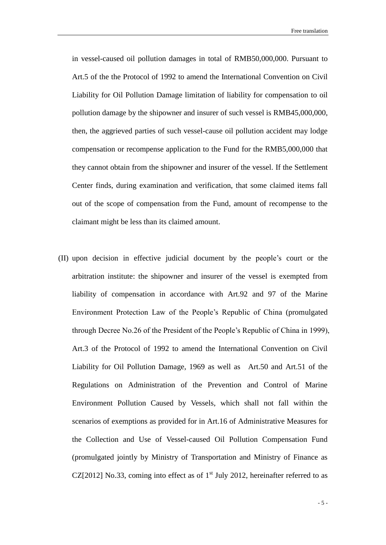in vessel-caused oil pollution damages in total of RMB50,000,000. Pursuant to Art.5 of the the Protocol of 1992 to amend the International Convention on Civil Liability for Oil Pollution Damage limitation of liability for compensation to oil pollution damage by the shipowner and insurer of such vessel is RMB45,000,000, then, the aggrieved parties of such vessel-cause oil pollution accident may lodge compensation or recompense application to the Fund for the RMB5,000,000 that they cannot obtain from the shipowner and insurer of the vessel. If the Settlement Center finds, during examination and verification, that some claimed items fall out of the scope of compensation from the Fund, amount of recompense to the claimant might be less than its claimed amount.

(II) upon decision in effective judicial document by the people's court or the arbitration institute: the shipowner and insurer of the vessel is exempted from liability of compensation in accordance with Art.92 and 97 of the Marine Environment Protection Law of the People's Republic of China (promulgated through Decree No.26 of the President of the People's Republic of China in 1999), Art.3 of the Protocol of 1992 to amend the International Convention on Civil Liability for Oil Pollution Damage, 1969 as well as Art.50 and Art.51 of the Regulations on Administration of the Prevention and Control of Marine Environment Pollution Caused by Vessels, which shall not fall within the scenarios of exemptions as provided for in Art.16 of Administrative Measures for the Collection and Use of Vessel-caused Oil Pollution Compensation Fund (promulgated jointly by Ministry of Transportation and Ministry of Finance as CZ[2012] No.33, coming into effect as of  $1<sup>st</sup>$  July 2012, hereinafter referred to as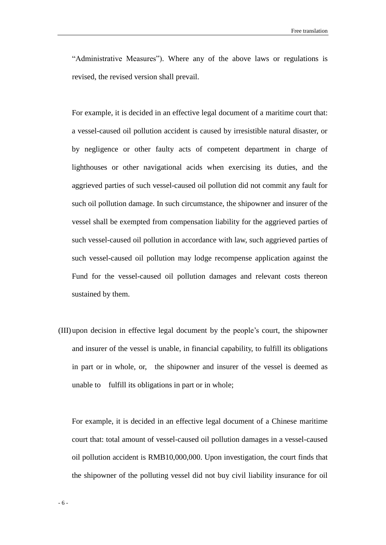"Administrative Measures"). Where any of the above laws or regulations is revised, the revised version shall prevail.

For example, it is decided in an effective legal document of a maritime court that: a vessel-caused oil pollution accident is caused by irresistible natural disaster, or by negligence or other faulty acts of competent department in charge of lighthouses or other navigational acids when exercising its duties, and the aggrieved parties of such vessel-caused oil pollution did not commit any fault for such oil pollution damage. In such circumstance, the shipowner and insurer of the vessel shall be exempted from compensation liability for the aggrieved parties of such vessel-caused oil pollution in accordance with law, such aggrieved parties of such vessel-caused oil pollution may lodge recompense application against the Fund for the vessel-caused oil pollution damages and relevant costs thereon sustained by them.

(III) upon decision in effective legal document by the people's court, the shipowner and insurer of the vessel is unable, in financial capability, to fulfill its obligations in part or in whole, or, the shipowner and insurer of the vessel is deemed as unable to fulfill its obligations in part or in whole;

For example, it is decided in an effective legal document of a Chinese maritime court that: total amount of vessel-caused oil pollution damages in a vessel-caused oil pollution accident is RMB10,000,000. Upon investigation, the court finds that the shipowner of the polluting vessel did not buy civil liability insurance for oil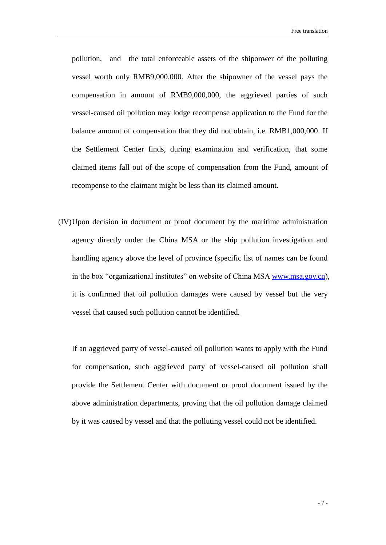pollution, and the total enforceable assets of the shiponwer of the polluting vessel worth only RMB9,000,000. After the shipowner of the vessel pays the compensation in amount of RMB9,000,000, the aggrieved parties of such vessel-caused oil pollution may lodge recompense application to the Fund for the balance amount of compensation that they did not obtain, i.e. RMB1,000,000. If the Settlement Center finds, during examination and verification, that some claimed items fall out of the scope of compensation from the Fund, amount of recompense to the claimant might be less than its claimed amount.

(IV)Upon decision in document or proof document by the maritime administration agency directly under the China MSA or the ship pollution investigation and handling agency above the level of province (specific list of names can be found in the box "organizational institutes" on website of China MSA [www.msa.gov.cn\)](http://www.msa.gov.cn/), it is confirmed that oil pollution damages were caused by vessel but the very vessel that caused such pollution cannot be identified.

If an aggrieved party of vessel-caused oil pollution wants to apply with the Fund for compensation, such aggrieved party of vessel-caused oil pollution shall provide the Settlement Center with document or proof document issued by the above administration departments, proving that the oil pollution damage claimed by it was caused by vessel and that the polluting vessel could not be identified.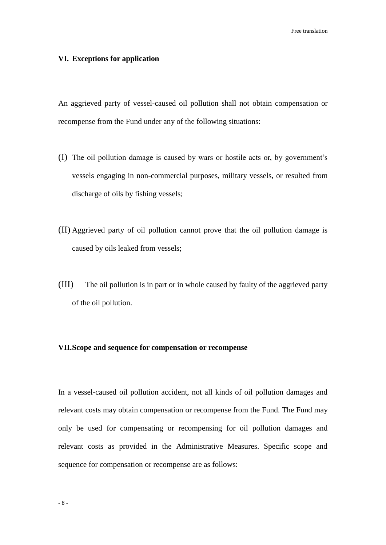#### <span id="page-15-0"></span>**VI. Exceptions for application**

An aggrieved party of vessel-caused oil pollution shall not obtain compensation or recompense from the Fund under any of the following situations:

- (I) The oil pollution damage is caused by wars or hostile acts or, by government's vessels engaging in non-commercial purposes, military vessels, or resulted from discharge of oils by fishing vessels;
- (II) Aggrieved party of oil pollution cannot prove that the oil pollution damage is caused by oils leaked from vessels;
- (III) The oil pollution is in part or in whole caused by faulty of the aggrieved party of the oil pollution.

#### <span id="page-15-1"></span>**VII.Scope and sequence for compensation or recompense**

In a vessel-caused oil pollution accident, not all kinds of oil pollution damages and relevant costs may obtain compensation or recompense from the Fund. The Fund may only be used for compensating or recompensing for oil pollution damages and relevant costs as provided in the Administrative Measures. Specific scope and sequence for compensation or recompense are as follows: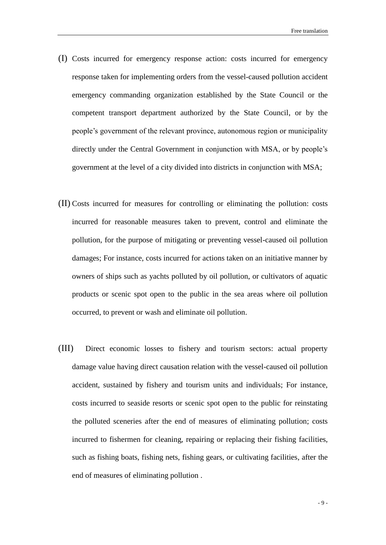- (I) Costs incurred for emergency response action: costs incurred for emergency response taken for implementing orders from the vessel-caused pollution accident emergency commanding organization established by the State Council or the competent transport department authorized by the State Council, or by the people's government of the relevant province, autonomous region or municipality directly under the Central Government in conjunction with MSA, or by people's government at the level of a city divided into districts in conjunction with MSA;
- (II) Costs incurred for measures for controlling or eliminating the pollution: costs incurred for reasonable measures taken to prevent, control and eliminate the pollution, for the purpose of mitigating or preventing vessel-caused oil pollution damages; For instance, costs incurred for actions taken on an initiative manner by owners of ships such as yachts polluted by oil pollution, or cultivators of aquatic products or scenic spot open to the public in the sea areas where oil pollution occurred, to prevent or wash and eliminate oil pollution.
- (III) Direct economic losses to fishery and tourism sectors: actual property damage value having direct causation relation with the vessel-caused oil pollution accident, sustained by fishery and tourism units and individuals; For instance, costs incurred to seaside resorts or scenic spot open to the public for reinstating the polluted sceneries after the end of measures of eliminating pollution; costs incurred to fishermen for cleaning, repairing or replacing their fishing facilities, such as fishing boats, fishing nets, fishing gears, or cultivating facilities, after the end of measures of eliminating pollution .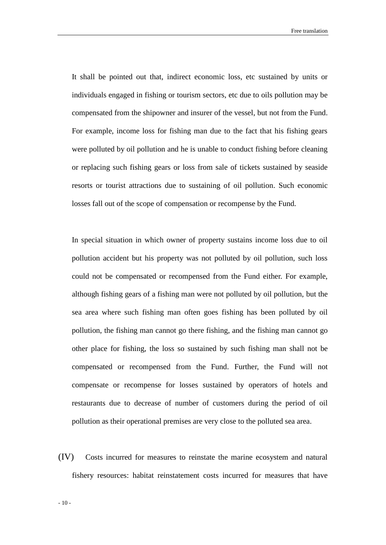Free translation

It shall be pointed out that, indirect economic loss, etc sustained by units or individuals engaged in fishing or tourism sectors, etc due to oils pollution may be compensated from the shipowner and insurer of the vessel, but not from the Fund. For example, income loss for fishing man due to the fact that his fishing gears were polluted by oil pollution and he is unable to conduct fishing before cleaning or replacing such fishing gears or loss from sale of tickets sustained by seaside resorts or tourist attractions due to sustaining of oil pollution. Such economic losses fall out of the scope of compensation or recompense by the Fund.

In special situation in which owner of property sustains income loss due to oil pollution accident but his property was not polluted by oil pollution, such loss could not be compensated or recompensed from the Fund either. For example, although fishing gears of a fishing man were not polluted by oil pollution, but the sea area where such fishing man often goes fishing has been polluted by oil pollution, the fishing man cannot go there fishing, and the fishing man cannot go other place for fishing, the loss so sustained by such fishing man shall not be compensated or recompensed from the Fund. Further, the Fund will not compensate or recompense for losses sustained by operators of hotels and restaurants due to decrease of number of customers during the period of oil pollution as their operational premises are very close to the polluted sea area.

(IV) Costs incurred for measures to reinstate the marine ecosystem and natural fishery resources: habitat reinstatement costs incurred for measures that have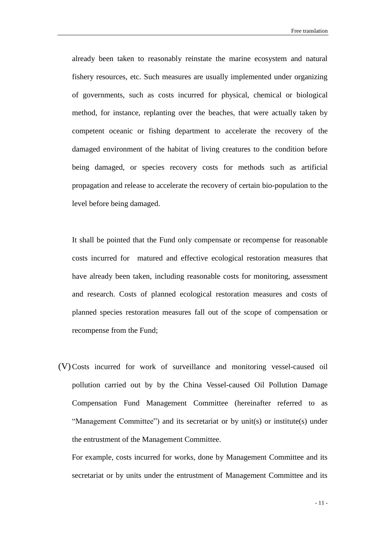Free translation

already been taken to reasonably reinstate the marine ecosystem and natural fishery resources, etc. Such measures are usually implemented under organizing of governments, such as costs incurred for physical, chemical or biological method, for instance, replanting over the beaches, that were actually taken by competent oceanic or fishing department to accelerate the recovery of the damaged environment of the habitat of living creatures to the condition before being damaged, or species recovery costs for methods such as artificial propagation and release to accelerate the recovery of certain bio-population to the level before being damaged.

It shall be pointed that the Fund only compensate or recompense for reasonable costs incurred for matured and effective ecological restoration measures that have already been taken, including reasonable costs for monitoring, assessment and research. Costs of planned ecological restoration measures and costs of planned species restoration measures fall out of the scope of compensation or recompense from the Fund;

(V)Costs incurred for work of surveillance and monitoring vessel-caused oil pollution carried out by by the China Vessel-caused Oil Pollution Damage Compensation Fund Management Committee (hereinafter referred to as "Management Committee") and its secretariat or by unit(s) or institute(s) under the entrustment of the Management Committee.

For example, costs incurred for works, done by Management Committee and its secretariat or by units under the entrustment of Management Committee and its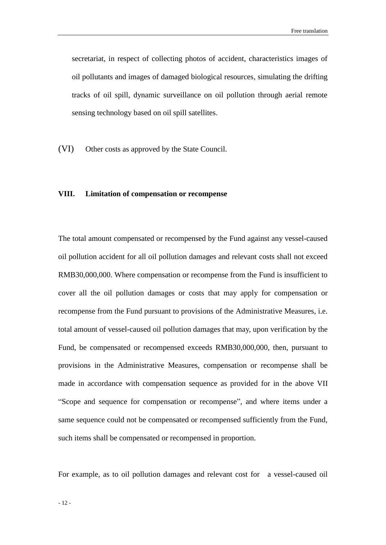secretariat, in respect of collecting photos of accident, characteristics images of oil pollutants and images of damaged biological resources, simulating the drifting tracks of oil spill, dynamic surveillance on oil pollution through aerial remote sensing technology based on oil spill satellites.

(VI) Other costs as approved by the State Council.

#### <span id="page-19-0"></span>**VIII. Limitation of compensation or recompense**

The total amount compensated or recompensed by the Fund against any vessel-caused oil pollution accident for all oil pollution damages and relevant costs shall not exceed RMB30,000,000. Where compensation or recompense from the Fund is insufficient to cover all the oil pollution damages or costs that may apply for compensation or recompense from the Fund pursuant to provisions of the Administrative Measures, i.e. total amount of vessel-caused oil pollution damages that may, upon verification by the Fund, be compensated or recompensed exceeds RMB30,000,000, then, pursuant to provisions in the Administrative Measures, compensation or recompense shall be made in accordance with compensation sequence as provided for in the above VII "Scope and sequence for compensation or recompense", and where items under a same sequence could not be compensated or recompensed sufficiently from the Fund, such items shall be compensated or recompensed in proportion.

For example, as to oil pollution damages and relevant cost for a vessel-caused oil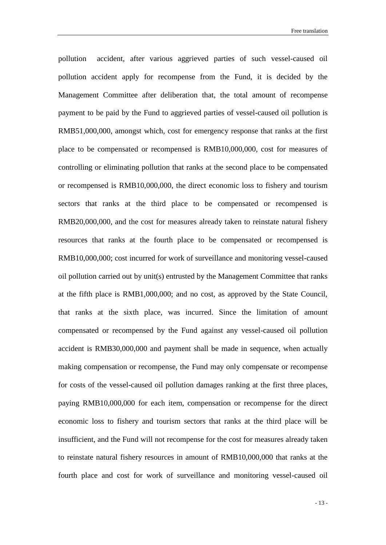pollution accident, after various aggrieved parties of such vessel-caused oil pollution accident apply for recompense from the Fund, it is decided by the Management Committee after deliberation that, the total amount of recompense payment to be paid by the Fund to aggrieved parties of vessel-caused oil pollution is RMB51,000,000, amongst which, cost for emergency response that ranks at the first place to be compensated or recompensed is RMB10,000,000, cost for measures of controlling or eliminating pollution that ranks at the second place to be compensated or recompensed is RMB10,000,000, the direct economic loss to fishery and tourism sectors that ranks at the third place to be compensated or recompensed is RMB20,000,000, and the cost for measures already taken to reinstate natural fishery resources that ranks at the fourth place to be compensated or recompensed is RMB10,000,000; cost incurred for work of surveillance and monitoring vessel-caused oil pollution carried out by unit(s) entrusted by the Management Committee that ranks at the fifth place is RMB1,000,000; and no cost, as approved by the State Council, that ranks at the sixth place, was incurred. Since the limitation of amount compensated or recompensed by the Fund against any vessel-caused oil pollution accident is RMB30,000,000 and payment shall be made in sequence, when actually making compensation or recompense, the Fund may only compensate or recompense for costs of the vessel-caused oil pollution damages ranking at the first three places, paying RMB10,000,000 for each item, compensation or recompense for the direct economic loss to fishery and tourism sectors that ranks at the third place will be insufficient, and the Fund will not recompense for the cost for measures already taken to reinstate natural fishery resources in amount of RMB10,000,000 that ranks at the fourth place and cost for work of surveillance and monitoring vessel-caused oil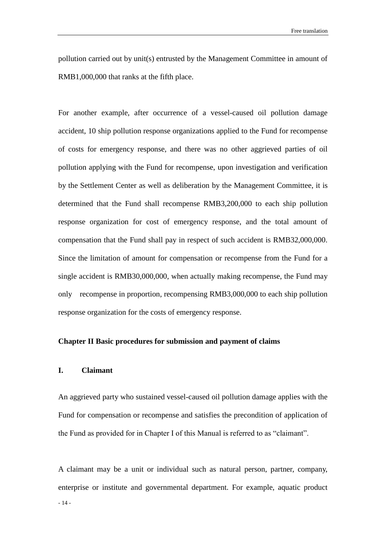pollution carried out by unit(s) entrusted by the Management Committee in amount of RMB1,000,000 that ranks at the fifth place.

For another example, after occurrence of a vessel-caused oil pollution damage accident, 10 ship pollution response organizations applied to the Fund for recompense of costs for emergency response, and there was no other aggrieved parties of oil pollution applying with the Fund for recompense, upon investigation and verification by the Settlement Center as well as deliberation by the Management Committee, it is determined that the Fund shall recompense RMB3,200,000 to each ship pollution response organization for cost of emergency response, and the total amount of compensation that the Fund shall pay in respect of such accident is RMB32,000,000. Since the limitation of amount for compensation or recompense from the Fund for a single accident is RMB30,000,000, when actually making recompense, the Fund may only recompense in proportion, recompensing RMB3,000,000 to each ship pollution response organization for the costs of emergency response.

#### <span id="page-21-0"></span>**Chapter II Basic procedures for submission and payment of claims**

#### <span id="page-21-1"></span>**I. Claimant**

An aggrieved party who sustained vessel-caused oil pollution damage applies with the Fund for compensation or recompense and satisfies the precondition of application of the Fund as provided for in Chapter I of this Manual is referred to as "claimant".

- 14 - A claimant may be a unit or individual such as natural person, partner, company, enterprise or institute and governmental department. For example, aquatic product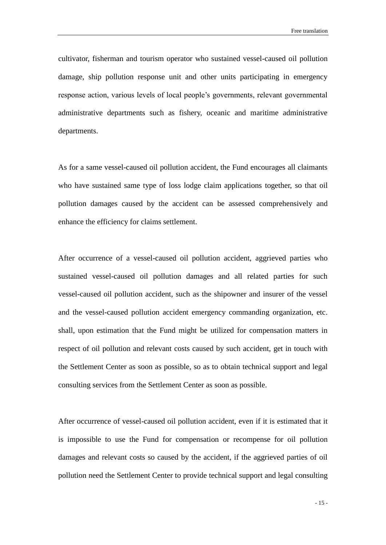cultivator, fisherman and tourism operator who sustained vessel-caused oil pollution damage, ship pollution response unit and other units participating in emergency response action, various levels of local people's governments, relevant governmental administrative departments such as fishery, oceanic and maritime administrative departments.

As for a same vessel-caused oil pollution accident, the Fund encourages all claimants who have sustained same type of loss lodge claim applications together, so that oil pollution damages caused by the accident can be assessed comprehensively and enhance the efficiency for claims settlement.

After occurrence of a vessel-caused oil pollution accident, aggrieved parties who sustained vessel-caused oil pollution damages and all related parties for such vessel-caused oil pollution accident, such as the shipowner and insurer of the vessel and the vessel-caused pollution accident emergency commanding organization, etc. shall, upon estimation that the Fund might be utilized for compensation matters in respect of oil pollution and relevant costs caused by such accident, get in touch with the Settlement Center as soon as possible, so as to obtain technical support and legal consulting services from the Settlement Center as soon as possible.

After occurrence of vessel-caused oil pollution accident, even if it is estimated that it is impossible to use the Fund for compensation or recompense for oil pollution damages and relevant costs so caused by the accident, if the aggrieved parties of oil pollution need the Settlement Center to provide technical support and legal consulting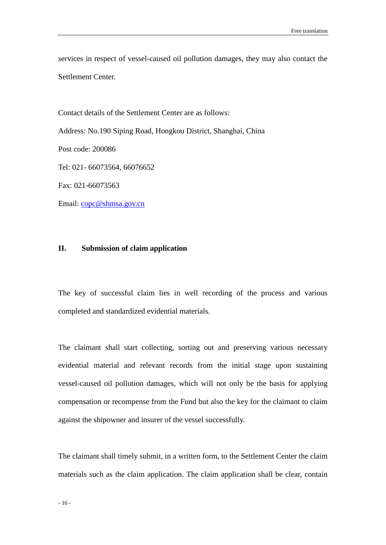services in respect of vessel-caused oil pollution damages, they may also contact the Settlement Center.

Contact details of the Settlement Center are as follows:

Address: No.190 Siping Road, Hongkou District, Shanghai, China

Post code: 200086

Tel: 021- 66073564, 66076652

Fax: 021-66073563

Email: [copc@shmsa.gov.cn](mailto:copc@shmsa.gov.cn)

#### <span id="page-23-0"></span>**II. Submission of claim application**

The key of successful claim lies in well recording of the process and various completed and standardized evidential materials.

The claimant shall start collecting, sorting out and preserving various necessary evidential material and relevant records from the initial stage upon sustaining vessel-caused oil pollution damages, which will not only be the basis for applying compensation or recompense from the Fund but also the key for the claimant to claim against the shipowner and insurer of the vessel successfully.

The claimant shall timely submit, in a written form, to the Settlement Center the claim materials such as the claim application. The claim application shall be clear, contain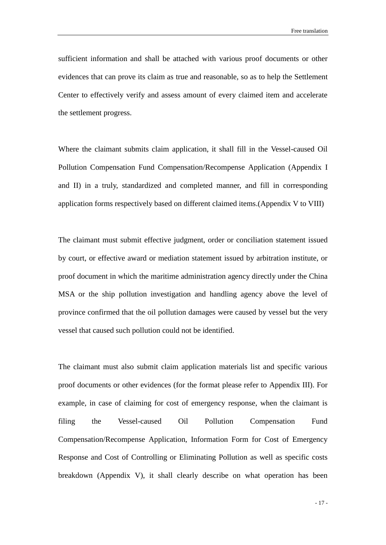sufficient information and shall be attached with various proof documents or other evidences that can prove its claim as true and reasonable, so as to help the Settlement Center to effectively verify and assess amount of every claimed item and accelerate the settlement progress.

Where the claimant submits claim application, it shall fill in the Vessel-caused Oil Pollution Compensation Fund Compensation/Recompense Application (Appendix I and II) in a truly, standardized and completed manner, and fill in corresponding application forms respectively based on different claimed items.(Appendix V to VIII)

The claimant must submit effective judgment, order or conciliation statement issued by court, or effective award or mediation statement issued by arbitration institute, or proof document in which the maritime administration agency directly under the China MSA or the ship pollution investigation and handling agency above the level of province confirmed that the oil pollution damages were caused by vessel but the very vessel that caused such pollution could not be identified.

The claimant must also submit claim application materials list and specific various proof documents or other evidences (for the format please refer to Appendix III). For example, in case of claiming for cost of emergency response, when the claimant is filing the Vessel-caused Oil Pollution Compensation Fund Compensation/Recompense Application, Information Form for Cost of Emergency Response and Cost of Controlling or Eliminating Pollution as well as specific costs breakdown (Appendix V), it shall clearly describe on what operation has been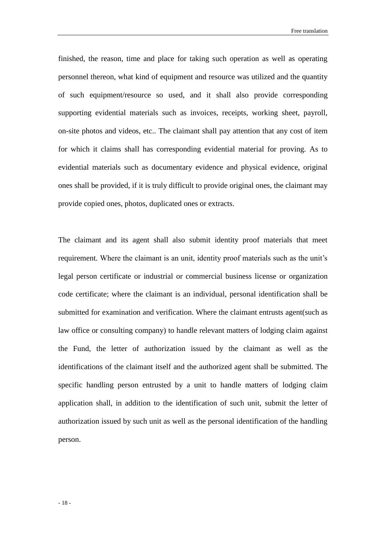Free translation

finished, the reason, time and place for taking such operation as well as operating personnel thereon, what kind of equipment and resource was utilized and the quantity of such equipment/resource so used, and it shall also provide corresponding supporting evidential materials such as invoices, receipts, working sheet, payroll, on-site photos and videos, etc.. The claimant shall pay attention that any cost of item for which it claims shall has corresponding evidential material for proving. As to evidential materials such as documentary evidence and physical evidence, original ones shall be provided, if it is truly difficult to provide original ones, the claimant may provide copied ones, photos, duplicated ones or extracts.

The claimant and its agent shall also submit identity proof materials that meet requirement. Where the claimant is an unit, identity proof materials such as the unit's legal person certificate or industrial or commercial business license or organization code certificate; where the claimant is an individual, personal identification shall be submitted for examination and verification. Where the claimant entrusts agent(such as law office or consulting company) to handle relevant matters of lodging claim against the Fund, the letter of authorization issued by the claimant as well as the identifications of the claimant itself and the authorized agent shall be submitted. The specific handling person entrusted by a unit to handle matters of lodging claim application shall, in addition to the identification of such unit, submit the letter of authorization issued by such unit as well as the personal identification of the handling person.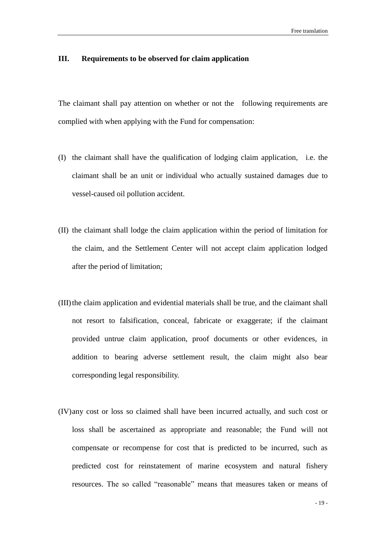#### <span id="page-26-0"></span>**III. Requirements to be observed for claim application**

The claimant shall pay attention on whether or not the following requirements are complied with when applying with the Fund for compensation:

- (I) the claimant shall have the qualification of lodging claim application, i.e. the claimant shall be an unit or individual who actually sustained damages due to vessel-caused oil pollution accident.
- (II) the claimant shall lodge the claim application within the period of limitation for the claim, and the Settlement Center will not accept claim application lodged after the period of limitation;
- (III)the claim application and evidential materials shall be true, and the claimant shall not resort to falsification, conceal, fabricate or exaggerate; if the claimant provided untrue claim application, proof documents or other evidences, in addition to bearing adverse settlement result, the claim might also bear corresponding legal responsibility.
- (IV)any cost or loss so claimed shall have been incurred actually, and such cost or loss shall be ascertained as appropriate and reasonable; the Fund will not compensate or recompense for cost that is predicted to be incurred, such as predicted cost for reinstatement of marine ecosystem and natural fishery resources. The so called "reasonable" means that measures taken or means of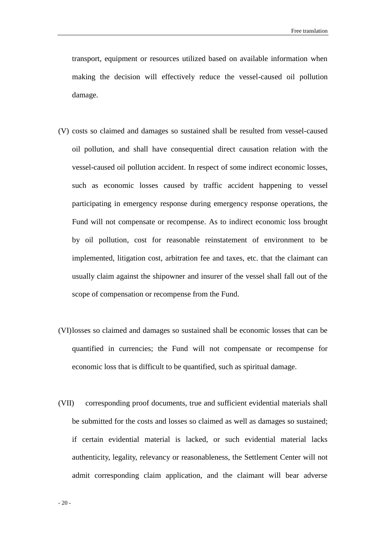transport, equipment or resources utilized based on available information when making the decision will effectively reduce the vessel-caused oil pollution damage.

- (V) costs so claimed and damages so sustained shall be resulted from vessel-caused oil pollution, and shall have consequential direct causation relation with the vessel-caused oil pollution accident. In respect of some indirect economic losses, such as economic losses caused by traffic accident happening to vessel participating in emergency response during emergency response operations, the Fund will not compensate or recompense. As to indirect economic loss brought by oil pollution, cost for reasonable reinstatement of environment to be implemented, litigation cost, arbitration fee and taxes, etc. that the claimant can usually claim against the shipowner and insurer of the vessel shall fall out of the scope of compensation or recompense from the Fund.
- (VI)losses so claimed and damages so sustained shall be economic losses that can be quantified in currencies; the Fund will not compensate or recompense for economic loss that is difficult to be quantified, such as spiritual damage.
- (VII) corresponding proof documents, true and sufficient evidential materials shall be submitted for the costs and losses so claimed as well as damages so sustained; if certain evidential material is lacked, or such evidential material lacks authenticity, legality, relevancy or reasonableness, the Settlement Center will not admit corresponding claim application, and the claimant will bear adverse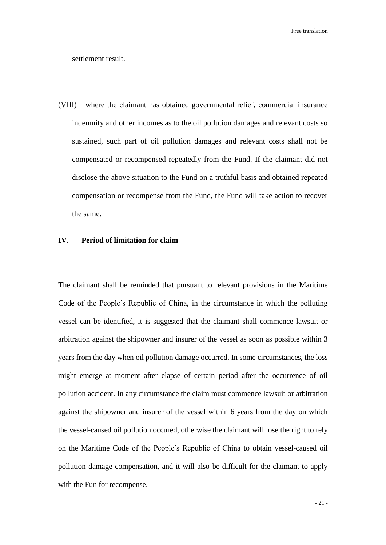settlement result.

(VIII) where the claimant has obtained governmental relief, commercial insurance indemnity and other incomes as to the oil pollution damages and relevant costs so sustained, such part of oil pollution damages and relevant costs shall not be compensated or recompensed repeatedly from the Fund. If the claimant did not disclose the above situation to the Fund on a truthful basis and obtained repeated compensation or recompense from the Fund, the Fund will take action to recover the same.

#### <span id="page-28-0"></span>**IV. Period of limitation for claim**

The claimant shall be reminded that pursuant to relevant provisions in the Maritime Code of the People's Republic of China, in the circumstance in which the polluting vessel can be identified, it is suggested that the claimant shall commence lawsuit or arbitration against the shipowner and insurer of the vessel as soon as possible within 3 years from the day when oil pollution damage occurred. In some circumstances, the loss might emerge at moment after elapse of certain period after the occurrence of oil pollution accident. In any circumstance the claim must commence lawsuit or arbitration against the shipowner and insurer of the vessel within 6 years from the day on which the vessel-caused oil pollution occured, otherwise the claimant will lose the right to rely on the Maritime Code of the People's Republic of China to obtain vessel-caused oil pollution damage compensation, and it will also be difficult for the claimant to apply with the Fun for recompense.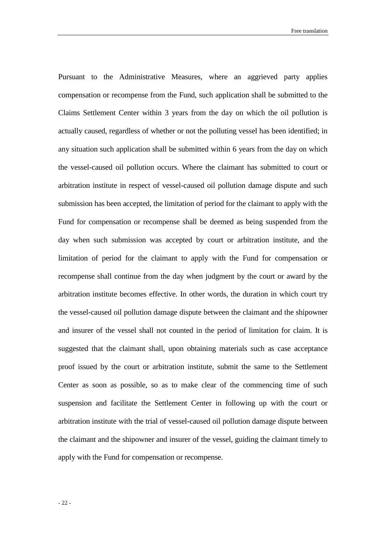Pursuant to the Administrative Measures, where an aggrieved party applies compensation or recompense from the Fund, such application shall be submitted to the Claims Settlement Center within 3 years from the day on which the oil pollution is actually caused, regardless of whether or not the polluting vessel has been identified; in any situation such application shall be submitted within 6 years from the day on which the vessel-caused oil pollution occurs. Where the claimant has submitted to court or arbitration institute in respect of vessel-caused oil pollution damage dispute and such submission has been accepted, the limitation of period for the claimant to apply with the Fund for compensation or recompense shall be deemed as being suspended from the day when such submission was accepted by court or arbitration institute, and the limitation of period for the claimant to apply with the Fund for compensation or recompense shall continue from the day when judgment by the court or award by the arbitration institute becomes effective. In other words, the duration in which court try the vessel-caused oil pollution damage dispute between the claimant and the shipowner and insurer of the vessel shall not counted in the period of limitation for claim. It is suggested that the claimant shall, upon obtaining materials such as case acceptance proof issued by the court or arbitration institute, submit the same to the Settlement Center as soon as possible, so as to make clear of the commencing time of such suspension and facilitate the Settlement Center in following up with the court or arbitration institute with the trial of vessel-caused oil pollution damage dispute between the claimant and the shipowner and insurer of the vessel, guiding the claimant timely to apply with the Fund for compensation or recompense.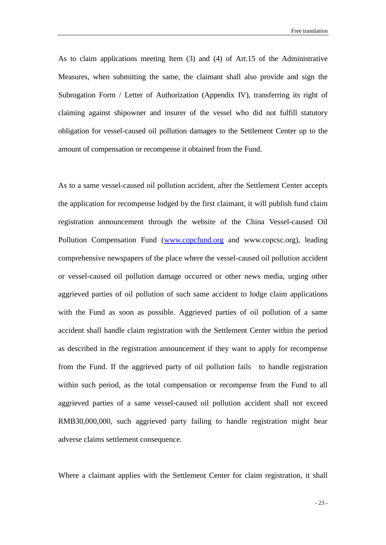As to claim applications meeting Item (3) and (4) of Art.15 of the Administrative Measures, when submitting the same, the claimant shall also provide and sign the Subrogation Form / Letter of Authorization (Appendix IV), transferring its right of claiming against shipowner and insurer of the vessel who did not fulfill statutory obligation for vessel-caused oil pollution damages to the Settlement Center up to the amount of compensation or recompense it obtained from the Fund.

As to a same vessel-caused oil pollution accident, after the Settlement Center accepts the application for recompense lodged by the first claimant, it will publish fund claim registration announcement through the website of the China Vessel-caused Oil Pollution Compensation Fund [\(www.copcfund.org](http://www.copcfund.org/) and www.copcsc.org), leading comprehensive newspapers of the place where the vessel-caused oil pollution accident or vessel-caused oil pollution damage occurred or other news media, urging other aggrieved parties of oil pollution of such same accident to lodge claim applications with the Fund as soon as possible. Aggrieved parties of oil pollution of a same accident shall handle claim registration with the Settlement Center within the period as described in the registration announcement if they want to apply for recompense from the Fund. If the aggrieved party of oil pollution fails to handle registration within such period, as the total compensation or recompense from the Fund to all aggrieved parties of a same vessel-caused oil pollution accident shall not exceed RMB30,000,000, such aggrieved party failing to handle registration might bear adverse claims settlement consequence.

Where a claimant applies with the Settlement Center for claim registration, it shall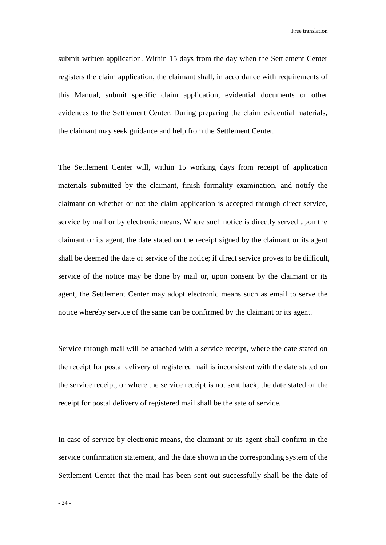Free translation

submit written application. Within 15 days from the day when the Settlement Center registers the claim application, the claimant shall, in accordance with requirements of this Manual, submit specific claim application, evidential documents or other evidences to the Settlement Center. During preparing the claim evidential materials, the claimant may seek guidance and help from the Settlement Center.

The Settlement Center will, within 15 working days from receipt of application materials submitted by the claimant, finish formality examination, and notify the claimant on whether or not the claim application is accepted through direct service, service by mail or by electronic means. Where such notice is directly served upon the claimant or its agent, the date stated on the receipt signed by the claimant or its agent shall be deemed the date of service of the notice; if direct service proves to be difficult, service of the notice may be done by mail or, upon consent by the claimant or its agent, the Settlement Center may adopt electronic means such as email to serve the notice whereby service of the same can be confirmed by the claimant or its agent.

Service through mail will be attached with a service receipt, where the date stated on the receipt for postal delivery of registered mail is inconsistent with the date stated on the service receipt, or where the service receipt is not sent back, the date stated on the receipt for postal delivery of registered mail shall be the sate of service.

In case of service by electronic means, the claimant or its agent shall confirm in the service confirmation statement, and the date shown in the corresponding system of the Settlement Center that the mail has been sent out successfully shall be the date of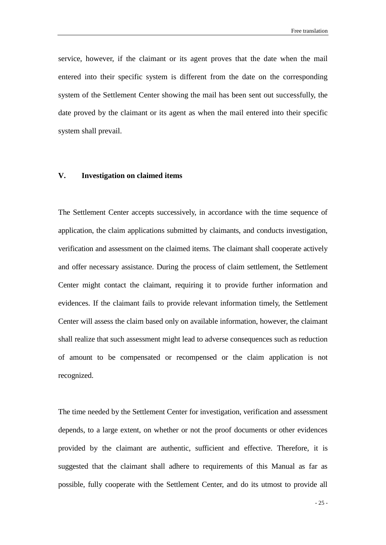service, however, if the claimant or its agent proves that the date when the mail entered into their specific system is different from the date on the corresponding system of the Settlement Center showing the mail has been sent out successfully, the date proved by the claimant or its agent as when the mail entered into their specific system shall prevail.

#### <span id="page-32-0"></span>**V. Investigation on claimed items**

The Settlement Center accepts successively, in accordance with the time sequence of application, the claim applications submitted by claimants, and conducts investigation, verification and assessment on the claimed items. The claimant shall cooperate actively and offer necessary assistance. During the process of claim settlement, the Settlement Center might contact the claimant, requiring it to provide further information and evidences. If the claimant fails to provide relevant information timely, the Settlement Center will assess the claim based only on available information, however, the claimant shall realize that such assessment might lead to adverse consequences such as reduction of amount to be compensated or recompensed or the claim application is not recognized.

The time needed by the Settlement Center for investigation, verification and assessment depends, to a large extent, on whether or not the proof documents or other evidences provided by the claimant are authentic, sufficient and effective. Therefore, it is suggested that the claimant shall adhere to requirements of this Manual as far as possible, fully cooperate with the Settlement Center, and do its utmost to provide all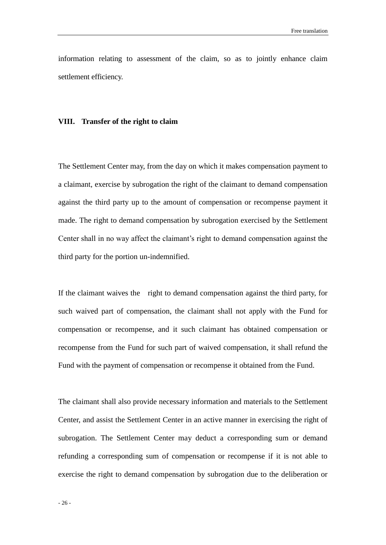information relating to assessment of the claim, so as to jointly enhance claim settlement efficiency.

#### <span id="page-33-0"></span>**VIII. Transfer of the right to claim**

The Settlement Center may, from the day on which it makes compensation payment to a claimant, exercise by subrogation the right of the claimant to demand compensation against the third party up to the amount of compensation or recompense payment it made. The right to demand compensation by subrogation exercised by the Settlement Center shall in no way affect the claimant's right to demand compensation against the third party for the portion un-indemnified.

If the claimant waives the right to demand compensation against the third party, for such waived part of compensation, the claimant shall not apply with the Fund for compensation or recompense, and it such claimant has obtained compensation or recompense from the Fund for such part of waived compensation, it shall refund the Fund with the payment of compensation or recompense it obtained from the Fund.

The claimant shall also provide necessary information and materials to the Settlement Center, and assist the Settlement Center in an active manner in exercising the right of subrogation. The Settlement Center may deduct a corresponding sum or demand refunding a corresponding sum of compensation or recompense if it is not able to exercise the right to demand compensation by subrogation due to the deliberation or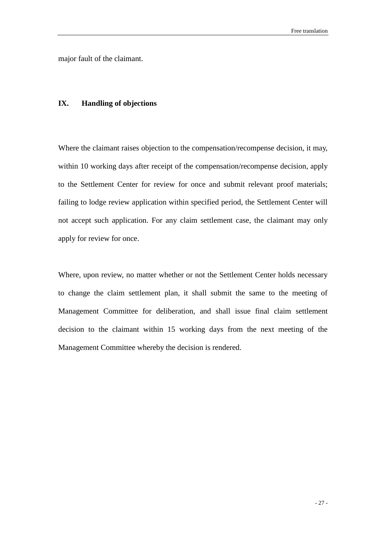major fault of the claimant.

#### <span id="page-34-0"></span>**IX. Handling of objections**

Where the claimant raises objection to the compensation/recompense decision, it may, within 10 working days after receipt of the compensation/recompense decision, apply to the Settlement Center for review for once and submit relevant proof materials; failing to lodge review application within specified period, the Settlement Center will not accept such application. For any claim settlement case, the claimant may only apply for review for once.

Where, upon review, no matter whether or not the Settlement Center holds necessary to change the claim settlement plan, it shall submit the same to the meeting of Management Committee for deliberation, and shall issue final claim settlement decision to the claimant within 15 working days from the next meeting of the Management Committee whereby the decision is rendered.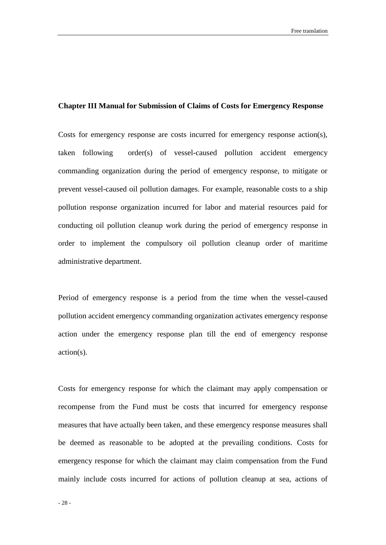#### <span id="page-35-0"></span>**Chapter III Manual for Submission of Claims of Costs for Emergency Response**

Costs for emergency response are costs incurred for emergency response action(s), taken following order(s) of vessel-caused pollution accident emergency commanding organization during the period of emergency response, to mitigate or prevent vessel-caused oil pollution damages. For example, reasonable costs to a ship pollution response organization incurred for labor and material resources paid for conducting oil pollution cleanup work during the period of emergency response in order to implement the compulsory oil pollution cleanup order of maritime administrative department.

Period of emergency response is a period from the time when the vessel-caused pollution accident emergency commanding organization activates emergency response action under the emergency response plan till the end of emergency response action(s).

Costs for emergency response for which the claimant may apply compensation or recompense from the Fund must be costs that incurred for emergency response measures that have actually been taken, and these emergency response measures shall be deemed as reasonable to be adopted at the prevailing conditions. Costs for emergency response for which the claimant may claim compensation from the Fund mainly include costs incurred for actions of pollution cleanup at sea, actions of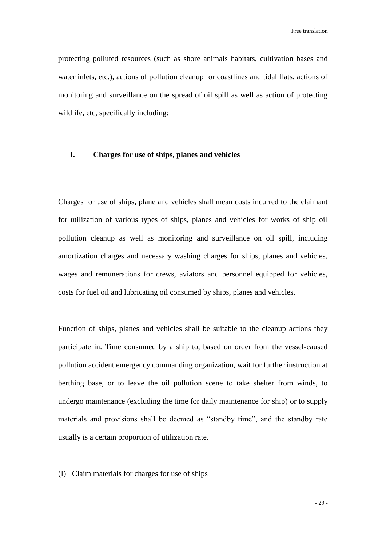protecting polluted resources (such as shore animals habitats, cultivation bases and water inlets, etc.), actions of pollution cleanup for coastlines and tidal flats, actions of monitoring and surveillance on the spread of oil spill as well as action of protecting wildlife, etc, specifically including:

#### <span id="page-36-0"></span>**I. Charges for use of ships, planes and vehicles**

Charges for use of ships, plane and vehicles shall mean costs incurred to the claimant for utilization of various types of ships, planes and vehicles for works of ship oil pollution cleanup as well as monitoring and surveillance on oil spill, including amortization charges and necessary washing charges for ships, planes and vehicles, wages and remunerations for crews, aviators and personnel equipped for vehicles, costs for fuel oil and lubricating oil consumed by ships, planes and vehicles.

Function of ships, planes and vehicles shall be suitable to the cleanup actions they participate in. Time consumed by a ship to, based on order from the vessel-caused pollution accident emergency commanding organization, wait for further instruction at berthing base, or to leave the oil pollution scene to take shelter from winds, to undergo maintenance (excluding the time for daily maintenance for ship) or to supply materials and provisions shall be deemed as "standby time", and the standby rate usually is a certain proportion of utilization rate.

#### (I) Claim materials for charges for use of ships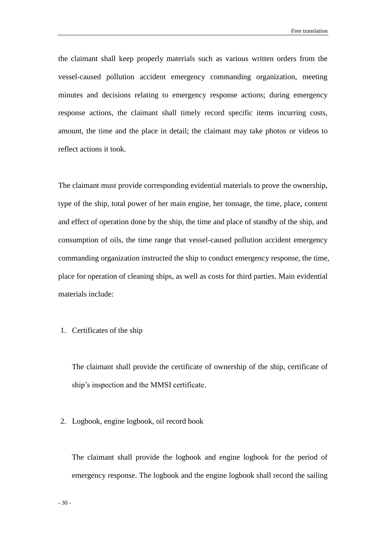the claimant shall keep properly materials such as various written orders from the vessel-caused pollution accident emergency commanding organization, meeting minutes and decisions relating to emergency response actions; during emergency response actions, the claimant shall timely record specific items incurring costs, amount, the time and the place in detail; the claimant may take photos or videos to reflect actions it took.

The claimant must provide corresponding evidential materials to prove the ownership, type of the ship, total power of her main engine, her tonnage, the time, place, content and effect of operation done by the ship, the time and place of standby of the ship, and consumption of oils, the time range that vessel-caused pollution accident emergency commanding organization instructed the ship to conduct emergency response, the time, place for operation of cleaning ships, as well as costs for third parties. Main evidential materials include:

#### 1. Certificates of the ship

The claimant shall provide the certificate of ownership of the ship, certificate of ship's inspection and the MMSI certificate.

#### 2. Logbook, engine logbook, oil record book

The claimant shall provide the logbook and engine logbook for the period of emergency response. The logbook and the engine logbook shall record the sailing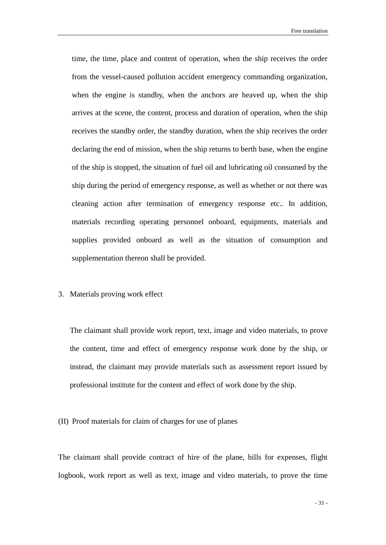time, the time, place and content of operation, when the ship receives the order from the vessel-caused pollution accident emergency commanding organization, when the engine is standby, when the anchors are heaved up, when the ship arrives at the scene, the content, process and duration of operation, when the ship receives the standby order, the standby duration, when the ship receives the order declaring the end of mission, when the ship returns to berth base, when the engine of the ship is stopped, the situation of fuel oil and lubricating oil consumed by the ship during the period of emergency response, as well as whether or not there was cleaning action after termination of emergency response etc.. In addition, materials recording operating personnel onboard, equipments, materials and supplies provided onboard as well as the situation of consumption and supplementation thereon shall be provided.

#### 3. Materials proving work effect

The claimant shall provide work report, text, image and video materials, to prove the content, time and effect of emergency response work done by the ship, or instead, the claimant may provide materials such as assessment report issued by professional institute for the content and effect of work done by the ship.

#### (II) Proof materials for claim of charges for use of planes

The claimant shall provide contract of hire of the plane, bills for expenses, flight logbook, work report as well as text, image and video materials, to prove the time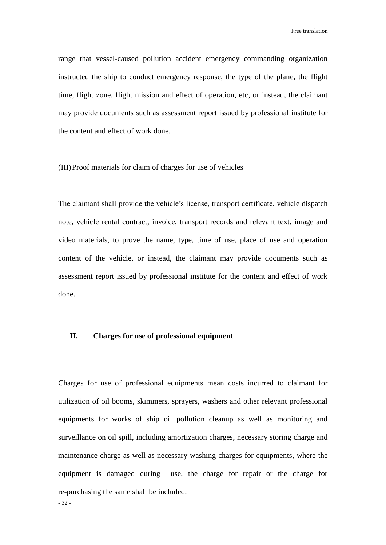range that vessel-caused pollution accident emergency commanding organization instructed the ship to conduct emergency response, the type of the plane, the flight time, flight zone, flight mission and effect of operation, etc, or instead, the claimant may provide documents such as assessment report issued by professional institute for the content and effect of work done.

(III)Proof materials for claim of charges for use of vehicles

The claimant shall provide the vehicle's license, transport certificate, vehicle dispatch note, vehicle rental contract, invoice, transport records and relevant text, image and video materials, to prove the name, type, time of use, place of use and operation content of the vehicle, or instead, the claimant may provide documents such as assessment report issued by professional institute for the content and effect of work done.

#### <span id="page-39-0"></span>**II. Charges for use of professional equipment**

Charges for use of professional equipments mean costs incurred to claimant for utilization of oil booms, skimmers, sprayers, washers and other relevant professional equipments for works of ship oil pollution cleanup as well as monitoring and surveillance on oil spill, including amortization charges, necessary storing charge and maintenance charge as well as necessary washing charges for equipments, where the equipment is damaged during use, the charge for repair or the charge for re-purchasing the same shall be included.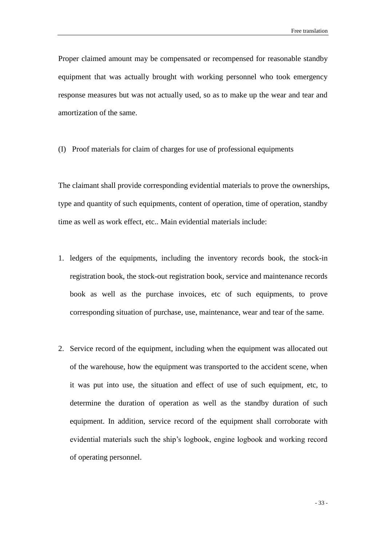Proper claimed amount may be compensated or recompensed for reasonable standby equipment that was actually brought with working personnel who took emergency response measures but was not actually used, so as to make up the wear and tear and amortization of the same.

(I) Proof materials for claim of charges for use of professional equipments

The claimant shall provide corresponding evidential materials to prove the ownerships, type and quantity of such equipments, content of operation, time of operation, standby time as well as work effect, etc.. Main evidential materials include:

- 1. ledgers of the equipments, including the inventory records book, the stock-in registration book, the stock-out registration book, service and maintenance records book as well as the purchase invoices, etc of such equipments, to prove corresponding situation of purchase, use, maintenance, wear and tear of the same.
- 2. Service record of the equipment, including when the equipment was allocated out of the warehouse, how the equipment was transported to the accident scene, when it was put into use, the situation and effect of use of such equipment, etc, to determine the duration of operation as well as the standby duration of such equipment. In addition, service record of the equipment shall corroborate with evidential materials such the ship's logbook, engine logbook and working record of operating personnel.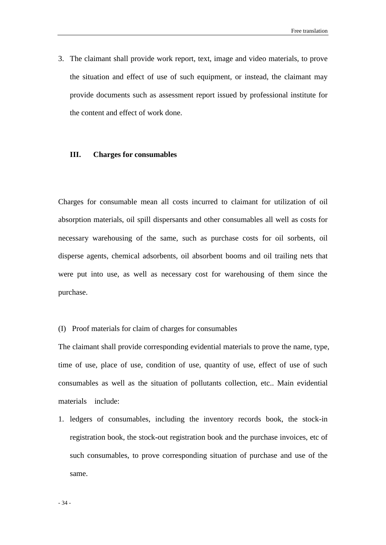3. The claimant shall provide work report, text, image and video materials, to prove the situation and effect of use of such equipment, or instead, the claimant may provide documents such as assessment report issued by professional institute for the content and effect of work done.

#### <span id="page-41-0"></span>**III. Charges for consumables**

Charges for consumable mean all costs incurred to claimant for utilization of oil absorption materials, oil spill dispersants and other consumables all well as costs for necessary warehousing of the same, such as purchase costs for oil sorbents, oil disperse agents, chemical adsorbents, oil absorbent booms and oil trailing nets that were put into use, as well as necessary cost for warehousing of them since the purchase.

#### (I) Proof materials for claim of charges for consumables

The claimant shall provide corresponding evidential materials to prove the name, type, time of use, place of use, condition of use, quantity of use, effect of use of such consumables as well as the situation of pollutants collection, etc.. Main evidential materials include:

1. ledgers of consumables, including the inventory records book, the stock-in registration book, the stock-out registration book and the purchase invoices, etc of such consumables, to prove corresponding situation of purchase and use of the same.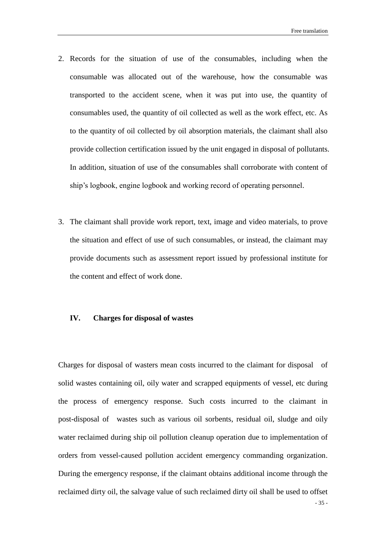- 2. Records for the situation of use of the consumables, including when the consumable was allocated out of the warehouse, how the consumable was transported to the accident scene, when it was put into use, the quantity of consumables used, the quantity of oil collected as well as the work effect, etc. As to the quantity of oil collected by oil absorption materials, the claimant shall also provide collection certification issued by the unit engaged in disposal of pollutants. In addition, situation of use of the consumables shall corroborate with content of ship's logbook, engine logbook and working record of operating personnel.
- 3. The claimant shall provide work report, text, image and video materials, to prove the situation and effect of use of such consumables, or instead, the claimant may provide documents such as assessment report issued by professional institute for the content and effect of work done.

#### <span id="page-42-0"></span>**IV. Charges for disposal of wastes**

Charges for disposal of wasters mean costs incurred to the claimant for disposal of solid wastes containing oil, oily water and scrapped equipments of vessel, etc during the process of emergency response. Such costs incurred to the claimant in post-disposal of wastes such as various oil sorbents, residual oil, sludge and oily water reclaimed during ship oil pollution cleanup operation due to implementation of orders from vessel-caused pollution accident emergency commanding organization. During the emergency response, if the claimant obtains additional income through the reclaimed dirty oil, the salvage value of such reclaimed dirty oil shall be used to offset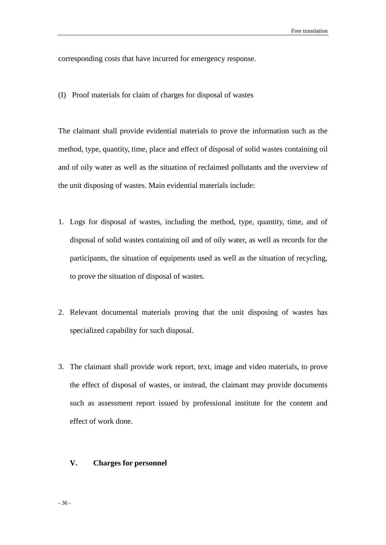corresponding costs that have incurred for emergency response.

(I) Proof materials for claim of charges for disposal of wastes

The claimant shall provide evidential materials to prove the information such as the method, type, quantity, time, place and effect of disposal of solid wastes containing oil and of oily water as well as the situation of reclaimed pollutants and the overview of the unit disposing of wastes. Main evidential materials include:

- 1. Logs for disposal of wastes, including the method, type, quantity, time, and of disposal of solid wastes containing oil and of oily water, as well as records for the participants, the situation of equipments used as well as the situation of recycling, to prove the situation of disposal of wastes.
- 2. Relevant documental materials proving that the unit disposing of wastes has specialized capability for such disposal.
- 3. The claimant shall provide work report, text, image and video materials, to prove the effect of disposal of wastes, or instead, the claimant may provide documents such as assessment report issued by professional institute for the content and effect of work done.

#### <span id="page-43-0"></span>**V. Charges for personnel**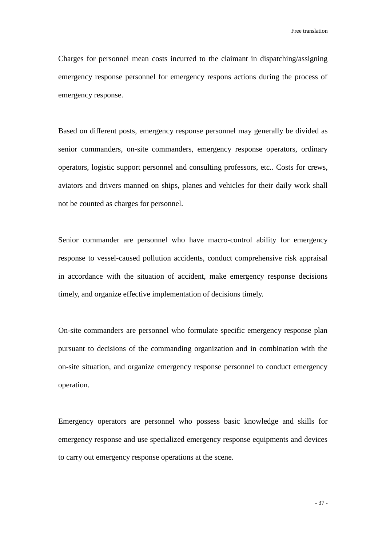Charges for personnel mean costs incurred to the claimant in dispatching/assigning emergency response personnel for emergency respons actions during the process of emergency response.

Based on different posts, emergency response personnel may generally be divided as senior commanders, on-site commanders, emergency response operators, ordinary operators, logistic support personnel and consulting professors, etc.. Costs for crews, aviators and drivers manned on ships, planes and vehicles for their daily work shall not be counted as charges for personnel.

Senior commander are personnel who have macro-control ability for emergency response to vessel-caused pollution accidents, conduct comprehensive risk appraisal in accordance with the situation of accident, make emergency response decisions timely, and organize effective implementation of decisions timely.

On-site commanders are personnel who formulate specific emergency response plan pursuant to decisions of the commanding organization and in combination with the on-site situation, and organize emergency response personnel to conduct emergency operation.

Emergency operators are personnel who possess basic knowledge and skills for emergency response and use specialized emergency response equipments and devices to carry out emergency response operations at the scene.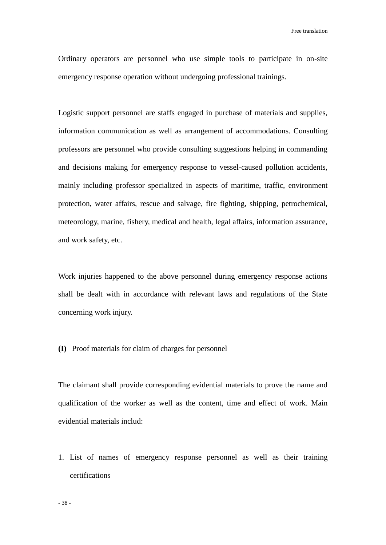Ordinary operators are personnel who use simple tools to participate in on-site emergency response operation without undergoing professional trainings.

Logistic support personnel are staffs engaged in purchase of materials and supplies, information communication as well as arrangement of accommodations. Consulting professors are personnel who provide consulting suggestions helping in commanding and decisions making for emergency response to vessel-caused pollution accidents, mainly including professor specialized in aspects of maritime, traffic, environment protection, water affairs, rescue and salvage, fire fighting, shipping, petrochemical, meteorology, marine, fishery, medical and health, legal affairs, information assurance, and work safety, etc.

Work injuries happened to the above personnel during emergency response actions shall be dealt with in accordance with relevant laws and regulations of the State concerning work injury.

**(I)** Proof materials for claim of charges for personnel

The claimant shall provide corresponding evidential materials to prove the name and qualification of the worker as well as the content, time and effect of work. Main evidential materials includ:

1. List of names of emergency response personnel as well as their training certifications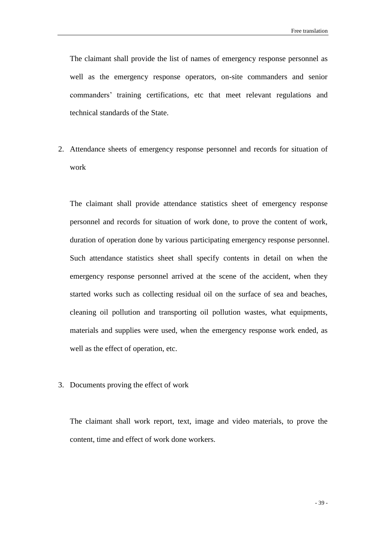The claimant shall provide the list of names of emergency response personnel as well as the emergency response operators, on-site commanders and senior commanders' training certifications, etc that meet relevant regulations and technical standards of the State.

2. Attendance sheets of emergency response personnel and records for situation of work

The claimant shall provide attendance statistics sheet of emergency response personnel and records for situation of work done, to prove the content of work, duration of operation done by various participating emergency response personnel. Such attendance statistics sheet shall specify contents in detail on when the emergency response personnel arrived at the scene of the accident, when they started works such as collecting residual oil on the surface of sea and beaches, cleaning oil pollution and transporting oil pollution wastes, what equipments, materials and supplies were used, when the emergency response work ended, as well as the effect of operation, etc.

3. Documents proving the effect of work

The claimant shall work report, text, image and video materials, to prove the content, time and effect of work done workers.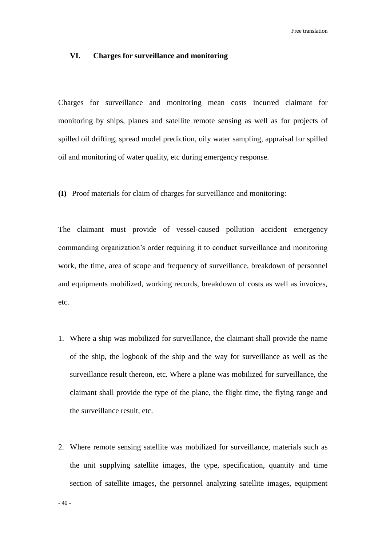#### <span id="page-47-0"></span>**VI. Charges for surveillance and monitoring**

Charges for surveillance and monitoring mean costs incurred claimant for monitoring by ships, planes and satellite remote sensing as well as for projects of spilled oil drifting, spread model prediction, oily water sampling, appraisal for spilled oil and monitoring of water quality, etc during emergency response.

**(I)** Proof materials for claim of charges for surveillance and monitoring:

The claimant must provide of vessel-caused pollution accident emergency commanding organization's order requiring it to conduct surveillance and monitoring work, the time, area of scope and frequency of surveillance, breakdown of personnel and equipments mobilized, working records, breakdown of costs as well as invoices, etc.

- 1. Where a ship was mobilized for surveillance, the claimant shall provide the name of the ship, the logbook of the ship and the way for surveillance as well as the surveillance result thereon, etc. Where a plane was mobilized for surveillance, the claimant shall provide the type of the plane, the flight time, the flying range and the surveillance result, etc.
- 2. Where remote sensing satellite was mobilized for surveillance, materials such as the unit supplying satellite images, the type, specification, quantity and time section of satellite images, the personnel analyzing satellite images, equipment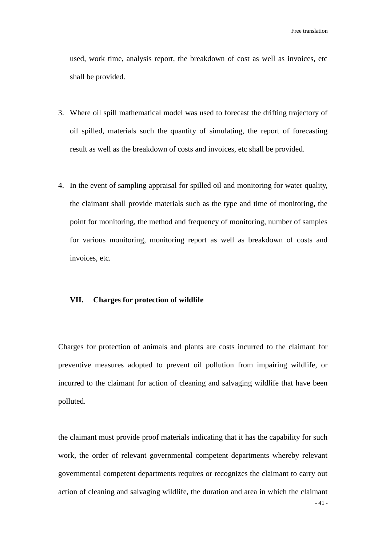used, work time, analysis report, the breakdown of cost as well as invoices, etc shall be provided.

- 3. Where oil spill mathematical model was used to forecast the drifting trajectory of oil spilled, materials such the quantity of simulating, the report of forecasting result as well as the breakdown of costs and invoices, etc shall be provided.
- 4. In the event of sampling appraisal for spilled oil and monitoring for water quality, the claimant shall provide materials such as the type and time of monitoring, the point for monitoring, the method and frequency of monitoring, number of samples for various monitoring, monitoring report as well as breakdown of costs and invoices, etc.

#### <span id="page-48-0"></span>**VII. Charges for protection of wildlife**

Charges for protection of animals and plants are costs incurred to the claimant for preventive measures adopted to prevent oil pollution from impairing wildlife, or incurred to the claimant for action of cleaning and salvaging wildlife that have been polluted.

the claimant must provide proof materials indicating that it has the capability for such work, the order of relevant governmental competent departments whereby relevant governmental competent departments requires or recognizes the claimant to carry out action of cleaning and salvaging wildlife, the duration and area in which the claimant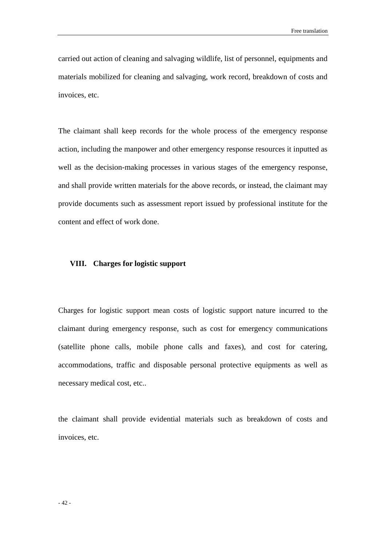carried out action of cleaning and salvaging wildlife, list of personnel, equipments and materials mobilized for cleaning and salvaging, work record, breakdown of costs and invoices, etc.

The claimant shall keep records for the whole process of the emergency response action, including the manpower and other emergency response resources it inputted as well as the decision-making processes in various stages of the emergency response, and shall provide written materials for the above records, or instead, the claimant may provide documents such as assessment report issued by professional institute for the content and effect of work done.

#### <span id="page-49-0"></span>**VIII. Charges for logistic support**

Charges for logistic support mean costs of logistic support nature incurred to the claimant during emergency response, such as cost for emergency communications (satellite phone calls, mobile phone calls and faxes), and cost for catering, accommodations, traffic and disposable personal protective equipments as well as necessary medical cost, etc..

the claimant shall provide evidential materials such as breakdown of costs and invoices, etc.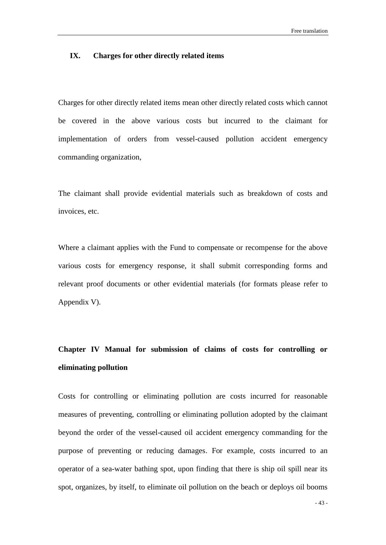#### <span id="page-50-0"></span>**IX. Charges for other directly related items**

Charges for other directly related items mean other directly related costs which cannot be covered in the above various costs but incurred to the claimant for implementation of orders from vessel-caused pollution accident emergency commanding organization,

The claimant shall provide evidential materials such as breakdown of costs and invoices, etc.

Where a claimant applies with the Fund to compensate or recompense for the above various costs for emergency response, it shall submit corresponding forms and relevant proof documents or other evidential materials (for formats please refer to Appendix V).

### <span id="page-50-1"></span>**Chapter IV Manual for submission of claims of costs for controlling or eliminating pollution**

Costs for controlling or eliminating pollution are costs incurred for reasonable measures of preventing, controlling or eliminating pollution adopted by the claimant beyond the order of the vessel-caused oil accident emergency commanding for the purpose of preventing or reducing damages. For example, costs incurred to an operator of a sea-water bathing spot, upon finding that there is ship oil spill near its spot, organizes, by itself, to eliminate oil pollution on the beach or deploys oil booms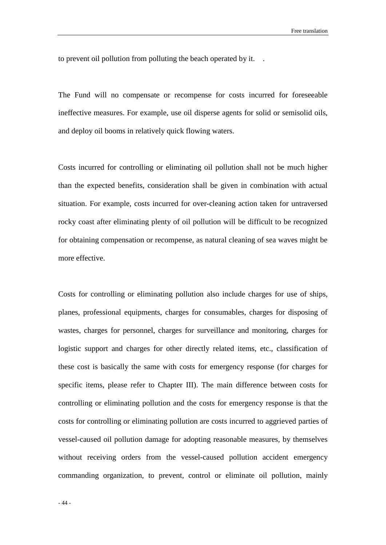to prevent oil pollution from polluting the beach operated by it. .

The Fund will no compensate or recompense for costs incurred for foreseeable ineffective measures. For example, use oil disperse agents for solid or semisolid oils, and deploy oil booms in relatively quick flowing waters.

Costs incurred for controlling or eliminating oil pollution shall not be much higher than the expected benefits, consideration shall be given in combination with actual situation. For example, costs incurred for over-cleaning action taken for untraversed rocky coast after eliminating plenty of oil pollution will be difficult to be recognized for obtaining compensation or recompense, as natural cleaning of sea waves might be more effective.

Costs for controlling or eliminating pollution also include charges for use of ships, planes, professional equipments, charges for consumables, charges for disposing of wastes, charges for personnel, charges for surveillance and monitoring, charges for logistic support and charges for other directly related items, etc., classification of these cost is basically the same with costs for emergency response (for charges for specific items, please refer to Chapter III). The main difference between costs for controlling or eliminating pollution and the costs for emergency response is that the costs for controlling or eliminating pollution are costs incurred to aggrieved parties of vessel-caused oil pollution damage for adopting reasonable measures, by themselves without receiving orders from the vessel-caused pollution accident emergency commanding organization, to prevent, control or eliminate oil pollution, mainly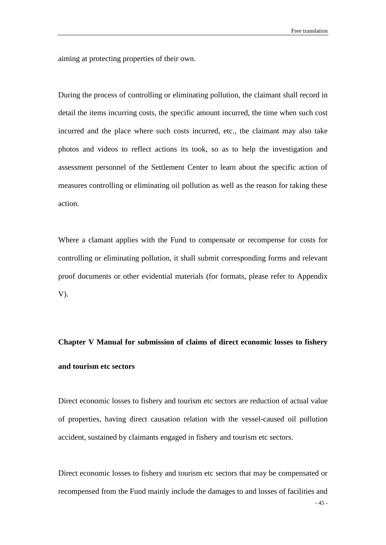aiming at protecting properties of their own.

During the process of controlling or eliminating pollution, the claimant shall record in detail the items incurring costs, the specific amount incurred, the time when such cost incurred and the place where such costs incurred, etc., the claimant may also take photos and videos to reflect actions its took, so as to help the investigation and assessment personnel of the Settlement Center to learn about the specific action of measures controlling or eliminating oil pollution as well as the reason for taking these action.

Where a clamant applies with the Fund to compensate or recompense for costs for controlling or eliminating pollution, it shall submit corresponding forms and relevant proof documents or other evidential materials (for formats, please refer to Appendix V).

## <span id="page-52-0"></span>**Chapter V Manual for submission of claims of direct economic losses to fishery and tourism etc sectors**

Direct economic losses to fishery and tourism etc sectors are reduction of actual value of properties, having direct causation relation with the vessel-caused oil pollution accident, sustained by claimants engaged in fishery and tourism etc sectors.

Direct economic losses to fishery and tourism etc sectors that may be compensated or recompensed from the Fund mainly include the damages to and losses of facilities and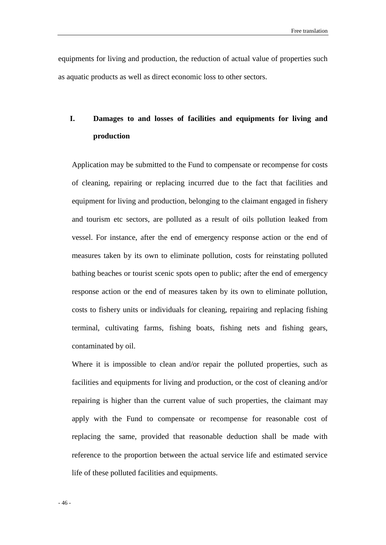equipments for living and production, the reduction of actual value of properties such as aquatic products as well as direct economic loss to other sectors.

### <span id="page-53-0"></span>**I. Damages to and losses of facilities and equipments for living and production**

Application may be submitted to the Fund to compensate or recompense for costs of cleaning, repairing or replacing incurred due to the fact that facilities and equipment for living and production, belonging to the claimant engaged in fishery and tourism etc sectors, are polluted as a result of oils pollution leaked from vessel. For instance, after the end of emergency response action or the end of measures taken by its own to eliminate pollution, costs for reinstating polluted bathing beaches or tourist scenic spots open to public; after the end of emergency response action or the end of measures taken by its own to eliminate pollution, costs to fishery units or individuals for cleaning, repairing and replacing fishing terminal, cultivating farms, fishing boats, fishing nets and fishing gears, contaminated by oil.

Where it is impossible to clean and/or repair the polluted properties, such as facilities and equipments for living and production, or the cost of cleaning and/or repairing is higher than the current value of such properties, the claimant may apply with the Fund to compensate or recompense for reasonable cost of replacing the same, provided that reasonable deduction shall be made with reference to the proportion between the actual service life and estimated service life of these polluted facilities and equipments.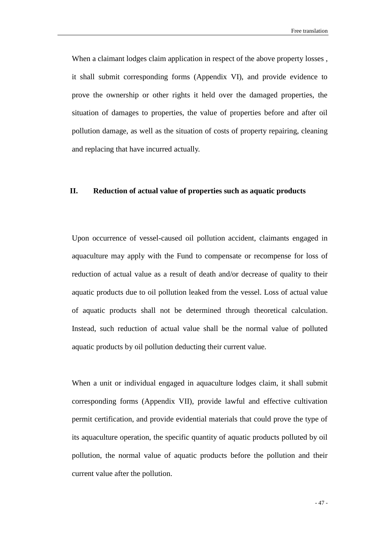When a claimant lodges claim application in respect of the above property losses, it shall submit corresponding forms (Appendix VI), and provide evidence to prove the ownership or other rights it held over the damaged properties, the situation of damages to properties, the value of properties before and after oil pollution damage, as well as the situation of costs of property repairing, cleaning and replacing that have incurred actually.

#### <span id="page-54-0"></span>**II. Reduction of actual value of properties such as aquatic products**

Upon occurrence of vessel-caused oil pollution accident, claimants engaged in aquaculture may apply with the Fund to compensate or recompense for loss of reduction of actual value as a result of death and/or decrease of quality to their aquatic products due to oil pollution leaked from the vessel. Loss of actual value of aquatic products shall not be determined through theoretical calculation. Instead, such reduction of actual value shall be the normal value of polluted aquatic products by oil pollution deducting their current value.

When a unit or individual engaged in aquaculture lodges claim, it shall submit corresponding forms (Appendix VII), provide lawful and effective cultivation permit certification, and provide evidential materials that could prove the type of its aquaculture operation, the specific quantity of aquatic products polluted by oil pollution, the normal value of aquatic products before the pollution and their current value after the pollution.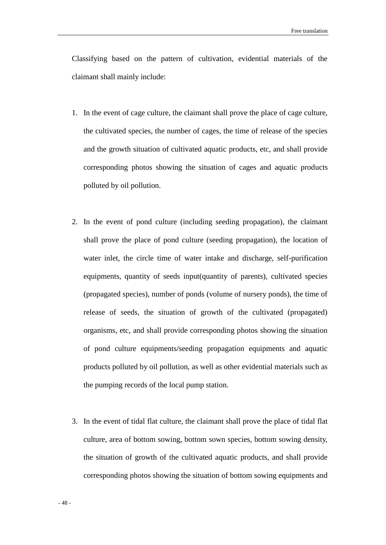Classifying based on the pattern of cultivation, evidential materials of the claimant shall mainly include:

- 1. In the event of cage culture, the claimant shall prove the place of cage culture, the cultivated species, the number of cages, the time of release of the species and the growth situation of cultivated aquatic products, etc, and shall provide corresponding photos showing the situation of cages and aquatic products polluted by oil pollution.
- 2. In the event of pond culture (including seeding propagation), the claimant shall prove the place of pond culture (seeding propagation), the location of water inlet, the circle time of water intake and discharge, self-purification equipments, quantity of seeds input(quantity of parents), cultivated species (propagated species), number of ponds (volume of nursery ponds), the time of release of seeds, the situation of growth of the cultivated (propagated) organisms, etc, and shall provide corresponding photos showing the situation of pond culture equipments/seeding propagation equipments and aquatic products polluted by oil pollution, as well as other evidential materials such as the pumping records of the local pump station.
- 3. In the event of tidal flat culture, the claimant shall prove the place of tidal flat culture, area of bottom sowing, bottom sown species, bottom sowing density, the situation of growth of the cultivated aquatic products, and shall provide corresponding photos showing the situation of bottom sowing equipments and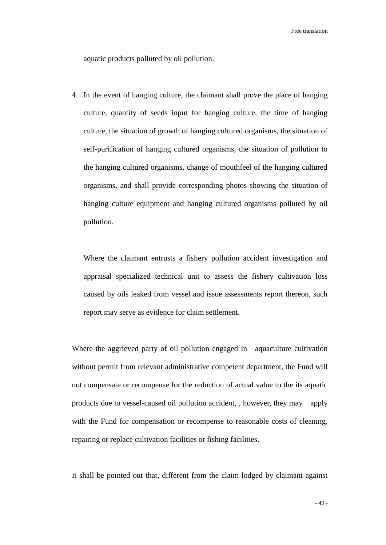aquatic products polluted by oil pollution.

4. In the event of hanging culture, the claimant shall prove the place of hanging culture, quantity of seeds input for hanging culture, the time of hanging culture, the situation of growth of hanging cultured organisms, the situation of self-purification of hanging cultured organisms, the situation of pollution to the hanging cultured organisms, change of mouthfeel of the hanging cultured organisms, and shall provide corresponding photos showing the situation of hanging culture equipment and hanging cultured organisms polluted by oil pollution.

Where the claimant entrusts a fishery pollution accident investigation and appraisal specialized technical unit to assess the fishery cultivation loss caused by oils leaked from vessel and issue assessments report thereon, such report may serve as evidence for claim settlement.

Where the aggrieved party of oil pollution engaged in aquaculture cultivation without permit from relevant administrative competent department, the Fund will not compensate or recompense for the reduction of actual value to the its aquatic products due to vessel-caused oil pollution accident, , however, they may apply with the Fund for compensation or recompense to reasonable costs of cleaning, repairing or replace cultivation facilities or fishing facilities.

It shall be pointed out that, different from the claim lodged by claimant against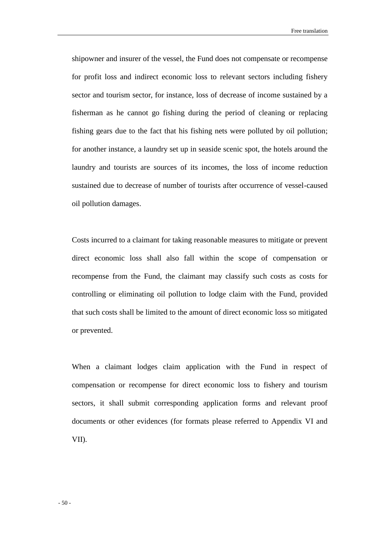Free translation

shipowner and insurer of the vessel, the Fund does not compensate or recompense for profit loss and indirect economic loss to relevant sectors including fishery sector and tourism sector, for instance, loss of decrease of income sustained by a fisherman as he cannot go fishing during the period of cleaning or replacing fishing gears due to the fact that his fishing nets were polluted by oil pollution; for another instance, a laundry set up in seaside scenic spot, the hotels around the laundry and tourists are sources of its incomes, the loss of income reduction sustained due to decrease of number of tourists after occurrence of vessel-caused oil pollution damages.

Costs incurred to a claimant for taking reasonable measures to mitigate or prevent direct economic loss shall also fall within the scope of compensation or recompense from the Fund, the claimant may classify such costs as costs for controlling or eliminating oil pollution to lodge claim with the Fund, provided that such costs shall be limited to the amount of direct economic loss so mitigated or prevented.

When a claimant lodges claim application with the Fund in respect of compensation or recompense for direct economic loss to fishery and tourism sectors, it shall submit corresponding application forms and relevant proof documents or other evidences (for formats please referred to Appendix VI and VII).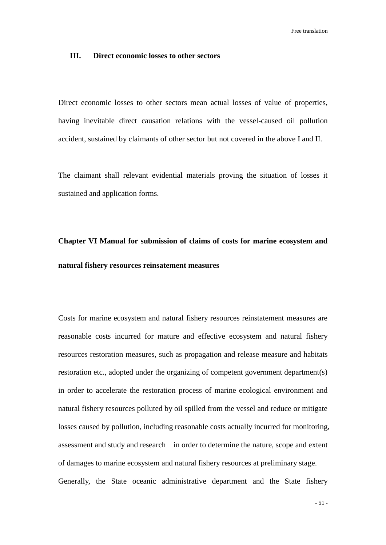#### <span id="page-58-0"></span>**III. Direct economic losses to other sectors**

Direct economic losses to other sectors mean actual losses of value of properties, having inevitable direct causation relations with the vessel-caused oil pollution accident, sustained by claimants of other sector but not covered in the above I and II.

The claimant shall relevant evidential materials proving the situation of losses it sustained and application forms.

## <span id="page-58-1"></span>**Chapter VI Manual for submission of claims of costs for marine ecosystem and natural fishery resources reinsatement measures**

Costs for marine ecosystem and natural fishery resources reinstatement measures are reasonable costs incurred for mature and effective ecosystem and natural fishery resources restoration measures, such as propagation and release measure and habitats restoration etc., adopted under the organizing of competent government department(s) in order to accelerate the restoration process of marine ecological environment and natural fishery resources polluted by oil spilled from the vessel and reduce or mitigate losses caused by pollution, including reasonable costs actually incurred for monitoring, assessment and study and research in order to determine the nature, scope and extent of damages to marine ecosystem and natural fishery resources at preliminary stage. Generally, the State oceanic administrative department and the State fishery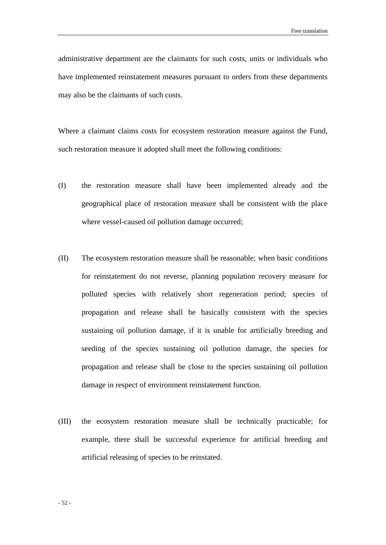administrative department are the claimants for such costs, units or individuals who have implemented reinstatement measures pursuant to orders from these departments may also be the claimants of such costs.

Where a claimant claims costs for ecosystem restoration measure against the Fund, such restoration measure it adopted shall meet the following conditions:

- (I) the restoration measure shall have been implemented already and the geographical place of restoration measure shall be consistent with the place where vessel-caused oil pollution damage occurred;
- (II) The ecosystem restoration measure shall be reasonable; when basic conditions for reinstatement do not reverse, planning population recovery measure for polluted species with relatively short regeneration period; species of propagation and release shall be basically consistent with the species sustaining oil pollution damage, if it is unable for artificially breeding and seeding of the species sustaining oil pollution damage, the species for propagation and release shall be close to the species sustaining oil pollution damage in respect of environment reinstatement function.
- (III) the ecosystem restoration measure shall be technically practicable; for example, there shall be successful experience for artificial breeding and artificial releasing of species to be reinstated.